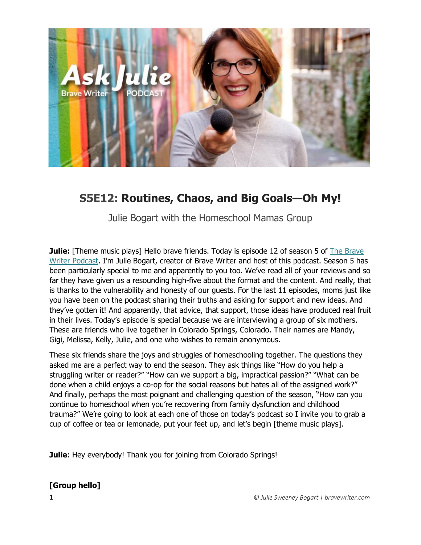

# **S5E12: Routines, Chaos, and Big Goals—Oh My!**

Julie Bogart with the Homeschool Mamas Group

**Julie:** [Theme music plays] Hello brave friends. Today is episode 12 of season 5 of The Brave [Writer Podcast](http://blog.bravewriter.com/category/podcasts/). I'm Julie Bogart, creator of Brave Writer and host of this podcast. Season 5 has been particularly special to me and apparently to you too. We've read all of your reviews and so far they have given us a resounding high-five about the format and the content. And really, that is thanks to the vulnerability and honesty of our guests. For the last 11 episodes, moms just like you have been on the podcast sharing their truths and asking for support and new ideas. And they've gotten it! And apparently, that advice, that support, those ideas have produced real fruit in their lives. Today's episode is special because we are interviewing a group of six mothers. These are friends who live together in Colorado Springs, Colorado. Their names are Mandy, Gigi, Melissa, Kelly, Julie, and one who wishes to remain anonymous.

These six friends share the joys and struggles of homeschooling together. The questions they asked me are a perfect way to end the season. They ask things like "How do you help a struggling writer or reader?" "How can we support a big, impractical passion?" "What can be done when a child enjoys a co-op for the social reasons but hates all of the assigned work?" And finally, perhaps the most poignant and challenging question of the season, "How can you continue to homeschool when you're recovering from family dysfunction and childhood trauma?" We're going to look at each one of those on today's podcast so I invite you to grab a cup of coffee or tea or lemonade, put your feet up, and let's begin [theme music plays].

**Julie**: Hey everybody! Thank you for joining from Colorado Springs!

#### **[Group hello]**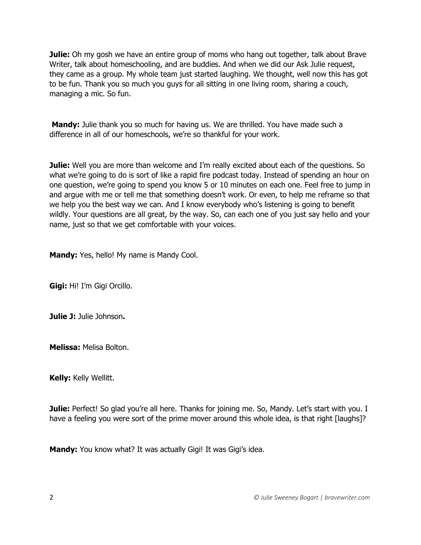**Julie:** Oh my gosh we have an entire group of moms who hang out together, talk about Brave Writer, talk about homeschooling, and are buddies. And when we did our Ask Julie request, they came as a group. My whole team just started laughing. We thought, well now this has got to be fun. Thank you so much you guys for all sitting in one living room, sharing a couch, managing a mic. So fun.

**Mandy:** Julie thank you so much for having us. We are thrilled. You have made such a difference in all of our homeschools, we're so thankful for your work.

**Julie:** Well you are more than welcome and I'm really excited about each of the questions. So what we're going to do is sort of like a rapid fire podcast today. Instead of spending an hour on one question, we're going to spend you know 5 or 10 minutes on each one. Feel free to jump in and argue with me or tell me that something doesn't work. Or even, to help me reframe so that we help you the best way we can. And I know everybody who's listening is going to benefit wildly. Your questions are all great, by the way. So, can each one of you just say hello and your name, just so that we get comfortable with your voices.

**Mandy:** Yes, hello! My name is Mandy Cool.

**Gigi:** Hi! I'm Gigi Orcillo.

**Julie J:** Julie Johnson**.**

**Melissa:** Melisa Bolton.

**Kelly:** Kelly Wellitt.

**Julie:** Perfect! So glad you're all here. Thanks for joining me. So, Mandy. Let's start with you. I have a feeling you were sort of the prime mover around this whole idea, is that right [laughs]?

**Mandy:** You know what? It was actually Gigi! It was Gigi's idea.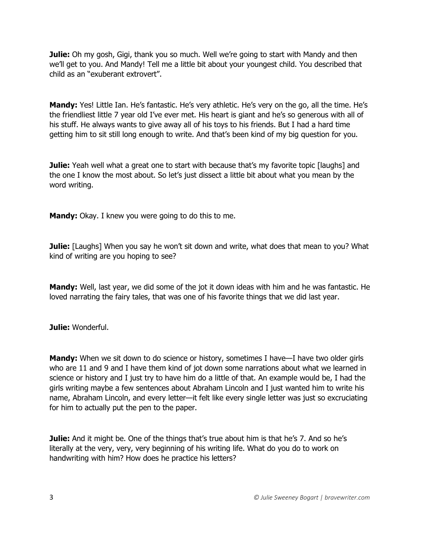**Julie:** Oh my gosh, Gigi, thank you so much. Well we're going to start with Mandy and then we'll get to you. And Mandy! Tell me a little bit about your youngest child. You described that child as an "exuberant extrovert".

**Mandy:** Yes! Little Ian. He's fantastic. He's very athletic. He's very on the go, all the time. He's the friendliest little 7 year old I've ever met. His heart is giant and he's so generous with all of his stuff. He always wants to give away all of his toys to his friends. But I had a hard time getting him to sit still long enough to write. And that's been kind of my big question for you.

**Julie:** Yeah well what a great one to start with because that's my favorite topic [laughs] and the one I know the most about. So let's just dissect a little bit about what you mean by the word writing.

**Mandy:** Okay. I knew you were going to do this to me.

**Julie:** [Laughs] When you say he won't sit down and write, what does that mean to you? What kind of writing are you hoping to see?

**Mandy:** Well, last year, we did some of the jot it down ideas with him and he was fantastic. He loved narrating the fairy tales, that was one of his favorite things that we did last year.

**Julie:** Wonderful.

**Mandy:** When we sit down to do science or history, sometimes I have—I have two older girls who are 11 and 9 and I have them kind of jot down some narrations about what we learned in science or history and I just try to have him do a little of that. An example would be, I had the girls writing maybe a few sentences about Abraham Lincoln and I just wanted him to write his name, Abraham Lincoln, and every letter—it felt like every single letter was just so excruciating for him to actually put the pen to the paper.

**Julie:** And it might be. One of the things that's true about him is that he's 7. And so he's literally at the very, very, very beginning of his writing life. What do you do to work on handwriting with him? How does he practice his letters?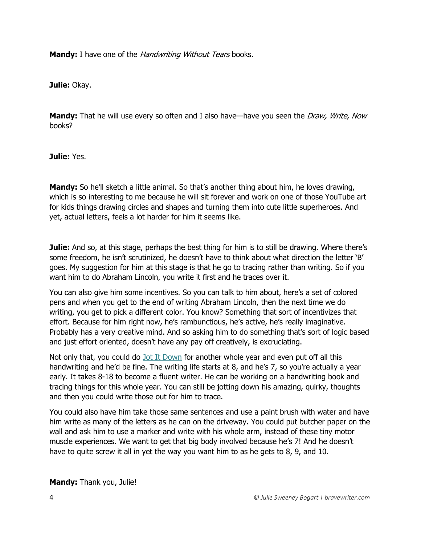**Mandy:** I have one of the *Handwriting Without Tears* books.

**Julie:** Okay.

**Mandy:** That he will use every so often and I also have—have you seen the *Draw, Write, Now* books?

**Julie:** Yes.

**Mandy:** So he'll sketch a little animal. So that's another thing about him, he loves drawing, which is so interesting to me because he will sit forever and work on one of those YouTube art for kids things drawing circles and shapes and turning them into cute little superheroes. And yet, actual letters, feels a lot harder for him it seems like.

**Julie:** And so, at this stage, perhaps the best thing for him is to still be drawing. Where there's some freedom, he isn't scrutinized, he doesn't have to think about what direction the letter 'B' goes. My suggestion for him at this stage is that he go to tracing rather than writing. So if you want him to do Abraham Lincoln, you write it first and he traces over it.

You can also give him some incentives. So you can talk to him about, here's a set of colored pens and when you get to the end of writing Abraham Lincoln, then the next time we do writing, you get to pick a different color. You know? Something that sort of incentivizes that effort. Because for him right now, he's rambunctious, he's active, he's really imaginative. Probably has a very creative mind. And so asking him to do something that's sort of logic based and just effort oriented, doesn't have any pay off creatively, is excruciating.

Not only that, you could do [Jot It Down](https://store.bravewriter.com/collections/writing-projects/products/jot-it-down) for another whole year and even put off all this handwriting and he'd be fine. The writing life starts at 8, and he's 7, so you're actually a year early. It takes 8-18 to become a fluent writer. He can be working on a handwriting book and tracing things for this whole year. You can still be jotting down his amazing, quirky, thoughts and then you could write those out for him to trace.

You could also have him take those same sentences and use a paint brush with water and have him write as many of the letters as he can on the driveway. You could put butcher paper on the wall and ask him to use a marker and write with his whole arm, instead of these tiny motor muscle experiences. We want to get that big body involved because he's 7! And he doesn't have to quite screw it all in yet the way you want him to as he gets to 8, 9, and 10.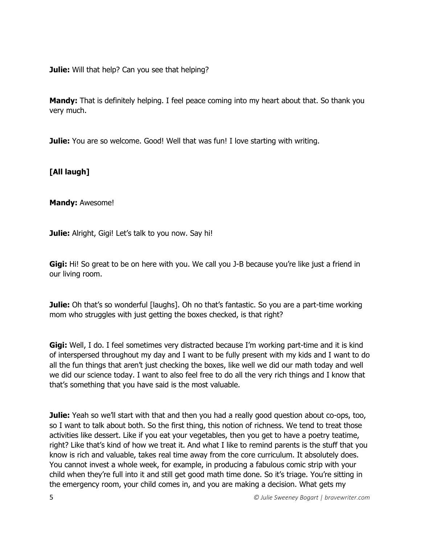**Julie:** Will that help? Can you see that helping?

**Mandy:** That is definitely helping. I feel peace coming into my heart about that. So thank you very much.

**Julie:** You are so welcome. Good! Well that was fun! I love starting with writing.

#### **[All laugh]**

**Mandy:** Awesome!

**Julie:** Alright, Gigi! Let's talk to you now. Say hi!

**Gigi:** Hi! So great to be on here with you. We call you J-B because you're like just a friend in our living room.

**Julie:** Oh that's so wonderful [laughs]. Oh no that's fantastic. So you are a part-time working mom who struggles with just getting the boxes checked, is that right?

**Gigi:** Well, I do. I feel sometimes very distracted because I'm working part-time and it is kind of interspersed throughout my day and I want to be fully present with my kids and I want to do all the fun things that aren't just checking the boxes, like well we did our math today and well we did our science today. I want to also feel free to do all the very rich things and I know that that's something that you have said is the most valuable.

**Julie:** Yeah so we'll start with that and then you had a really good question about co-ops, too, so I want to talk about both. So the first thing, this notion of richness. We tend to treat those activities like dessert. Like if you eat your vegetables, then you get to have a poetry teatime, right? Like that's kind of how we treat it. And what I like to remind parents is the stuff that you know is rich and valuable, takes real time away from the core curriculum. It absolutely does. You cannot invest a whole week, for example, in producing a fabulous comic strip with your child when they're full into it and still get good math time done. So it's triage. You're sitting in the emergency room, your child comes in, and you are making a decision. What gets my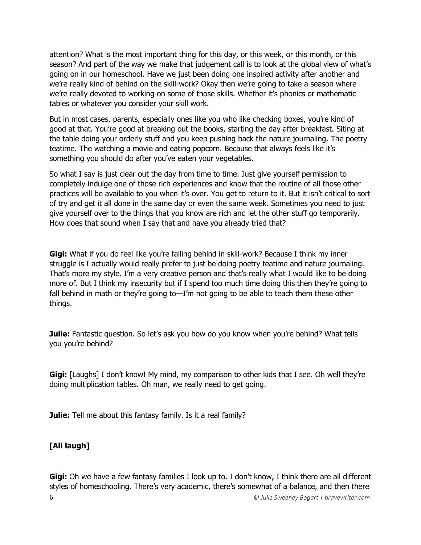attention? What is the most important thing for this day, or this week, or this month, or this season? And part of the way we make that judgement call is to look at the global view of what's going on in our homeschool. Have we just been doing one inspired activity after another and we're really kind of behind on the skill-work? Okay then we're going to take a season where we're really devoted to working on some of those skills. Whether it's phonics or mathematic tables or whatever you consider your skill work.

But in most cases, parents, especially ones like you who like checking boxes, you're kind of good at that. You're good at breaking out the books, starting the day after breakfast. Siting at the table doing your orderly stuff and you keep pushing back the nature journaling. The poetry teatime. The watching a movie and eating popcorn. Because that always feels like it's something you should do after you've eaten your vegetables.

So what I say is just clear out the day from time to time. Just give yourself permission to completely indulge one of those rich experiences and know that the routine of all those other practices will be available to you when it's over. You get to return to it. But it isn't critical to sort of try and get it all done in the same day or even the same week. Sometimes you need to just give yourself over to the things that you know are rich and let the other stuff go temporarily. How does that sound when I say that and have you already tried that?

**Gigi:** What if you do feel like you're falling behind in skill-work? Because I think my inner struggle is I actually would really prefer to just be doing poetry teatime and nature journaling. That's more my style. I'm a very creative person and that's really what I would like to be doing more of. But I think my insecurity but if I spend too much time doing this then they're going to fall behind in math or they're going to—I'm not going to be able to teach them these other things.

**Julie:** Fantastic question. So let's ask you how do you know when you're behind? What tells you you're behind?

**Gigi:** [Laughs] I don't know! My mind, my comparison to other kids that I see. Oh well they're doing multiplication tables. Oh man, we really need to get going.

**Julie:** Tell me about this fantasy family. Is it a real family?

## **[All laugh]**

6 *© Julie Sweeney Bogart | bravewriter.com* Gigi: Oh we have a few fantasy families I look up to. I don't know, I think there are all different styles of homeschooling. There's very academic, there's somewhat of a balance, and then there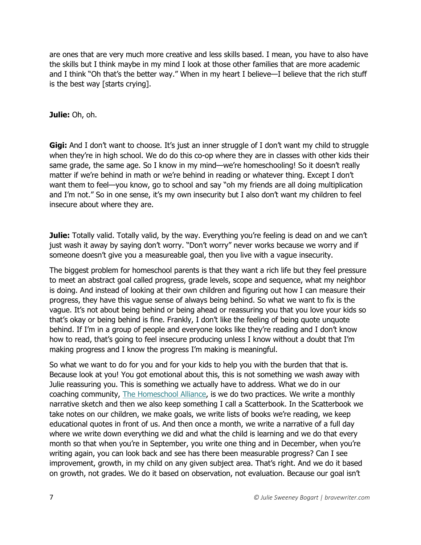are ones that are very much more creative and less skills based. I mean, you have to also have the skills but I think maybe in my mind I look at those other families that are more academic and I think "Oh that's the better way." When in my heart I believe—I believe that the rich stuff is the best way [starts crying].

#### **Julie:** Oh, oh.

**Gigi:** And I don't want to choose. It's just an inner struggle of I don't want my child to struggle when they're in high school. We do do this co-op where they are in classes with other kids their same grade, the same age. So I know in my mind—we're homeschooling! So it doesn't really matter if we're behind in math or we're behind in reading or whatever thing. Except I don't want them to feel—you know, go to school and say "oh my friends are all doing multiplication and I'm not." So in one sense, it's my own insecurity but I also don't want my children to feel insecure about where they are.

**Julie:** Totally valid. Totally valid, by the way. Everything you're feeling is dead on and we can't just wash it away by saying don't worry. "Don't worry" never works because we worry and if someone doesn't give you a measureable goal, then you live with a vague insecurity.

The biggest problem for homeschool parents is that they want a rich life but they feel pressure to meet an abstract goal called progress, grade levels, scope and sequence, what my neighbor is doing. And instead of looking at their own children and figuring out how I can measure their progress, they have this vague sense of always being behind. So what we want to fix is the vague. It's not about being behind or being ahead or reassuring you that you love your kids so that's okay or being behind is fine. Frankly, I don't like the feeling of being quote unquote behind. If I'm in a group of people and everyone looks like they're reading and I don't know how to read, that's going to feel insecure producing unless I know without a doubt that I'm making progress and I know the progress I'm making is meaningful.

So what we want to do for you and for your kids to help you with the burden that that is. Because look at you! You got emotional about this, this is not something we wash away with Julie reassuring you. This is something we actually have to address. What we do in our coaching community, [The Homeschool Alliance,](https://bravewriter.com/homeschool-alliance) is we do two practices. We write a monthly narrative sketch and then we also keep something I call a Scatterbook. In the Scatterbook we take notes on our children, we make goals, we write lists of books we're reading, we keep educational quotes in front of us. And then once a month, we write a narrative of a full day where we write down everything we did and what the child is learning and we do that every month so that when you're in September, you write one thing and in December, when you're writing again, you can look back and see has there been measurable progress? Can I see improvement, growth, in my child on any given subject area. That's right. And we do it based on growth, not grades. We do it based on observation, not evaluation. Because our goal isn't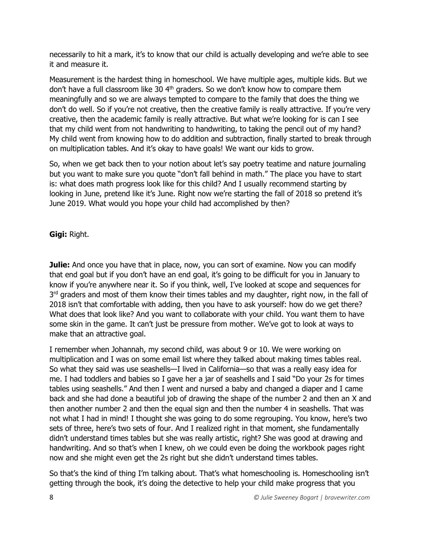necessarily to hit a mark, it's to know that our child is actually developing and we're able to see it and measure it.

Measurement is the hardest thing in homeschool. We have multiple ages, multiple kids. But we don't have a full classroom like 30 4<sup>th</sup> graders. So we don't know how to compare them meaningfully and so we are always tempted to compare to the family that does the thing we don't do well. So if you're not creative, then the creative family is really attractive. If you're very creative, then the academic family is really attractive. But what we're looking for is can I see that my child went from not handwriting to handwriting, to taking the pencil out of my hand? My child went from knowing how to do addition and subtraction, finally started to break through on multiplication tables. And it's okay to have goals! We want our kids to grow.

So, when we get back then to your notion about let's say poetry teatime and nature journaling but you want to make sure you quote "don't fall behind in math." The place you have to start is: what does math progress look like for this child? And I usually recommend starting by looking in June, pretend like it's June. Right now we're starting the fall of 2018 so pretend it's June 2019. What would you hope your child had accomplished by then?

**Gigi:** Right.

**Julie:** And once you have that in place, now, you can sort of examine. Now you can modify that end goal but if you don't have an end goal, it's going to be difficult for you in January to know if you're anywhere near it. So if you think, well, I've looked at scope and sequences for 3<sup>rd</sup> graders and most of them know their times tables and my daughter, right now, in the fall of 2018 isn't that comfortable with adding, then you have to ask yourself: how do we get there? What does that look like? And you want to collaborate with your child. You want them to have some skin in the game. It can't just be pressure from mother. We've got to look at ways to make that an attractive goal.

I remember when Johannah, my second child, was about 9 or 10. We were working on multiplication and I was on some email list where they talked about making times tables real. So what they said was use seashells—I lived in California—so that was a really easy idea for me. I had toddlers and babies so I gave her a jar of seashells and I said "Do your 2s for times tables using seashells." And then I went and nursed a baby and changed a diaper and I came back and she had done a beautiful job of drawing the shape of the number 2 and then an X and then another number 2 and then the equal sign and then the number 4 in seashells. That was not what I had in mind! I thought she was going to do some regrouping. You know, here's two sets of three, here's two sets of four. And I realized right in that moment, she fundamentally didn't understand times tables but she was really artistic, right? She was good at drawing and handwriting. And so that's when I knew, oh we could even be doing the workbook pages right now and she might even get the 2s right but she didn't understand times tables.

So that's the kind of thing I'm talking about. That's what homeschooling is. Homeschooling isn't getting through the book, it's doing the detective to help your child make progress that you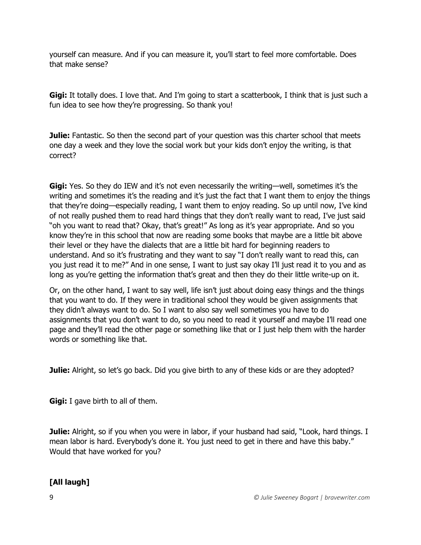yourself can measure. And if you can measure it, you'll start to feel more comfortable. Does that make sense?

**Gigi:** It totally does. I love that. And I'm going to start a scatterbook, I think that is just such a fun idea to see how they're progressing. So thank you!

**Julie:** Fantastic. So then the second part of your question was this charter school that meets one day a week and they love the social work but your kids don't enjoy the writing, is that correct?

**Gigi:** Yes. So they do IEW and it's not even necessarily the writing—well, sometimes it's the writing and sometimes it's the reading and it's just the fact that I want them to enjoy the things that they're doing—especially reading, I want them to enjoy reading. So up until now, I've kind of not really pushed them to read hard things that they don't really want to read, I've just said "oh you want to read that? Okay, that's great!" As long as it's year appropriate. And so you know they're in this school that now are reading some books that maybe are a little bit above their level or they have the dialects that are a little bit hard for beginning readers to understand. And so it's frustrating and they want to say "I don't really want to read this, can you just read it to me?" And in one sense, I want to just say okay I'll just read it to you and as long as you're getting the information that's great and then they do their little write-up on it.

Or, on the other hand, I want to say well, life isn't just about doing easy things and the things that you want to do. If they were in traditional school they would be given assignments that they didn't always want to do. So I want to also say well sometimes you have to do assignments that you don't want to do, so you need to read it yourself and maybe I'll read one page and they'll read the other page or something like that or I just help them with the harder words or something like that.

**Julie:** Alright, so let's go back. Did you give birth to any of these kids or are they adopted?

**Gigi:** I gave birth to all of them.

**Julie:** Alright, so if you when you were in labor, if your husband had said, "Look, hard things. I mean labor is hard. Everybody's done it. You just need to get in there and have this baby." Would that have worked for you?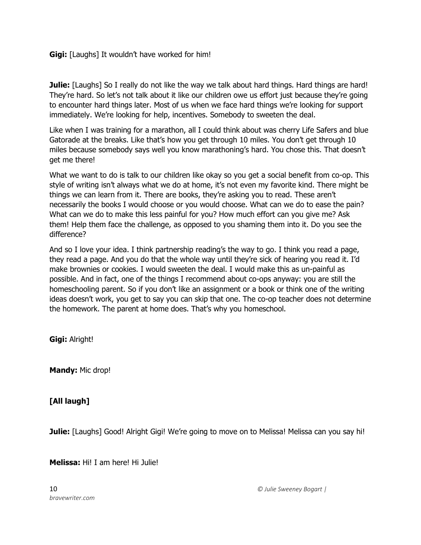**Gigi:** [Laughs] It wouldn't have worked for him!

**Julie:** [Laughs] So I really do not like the way we talk about hard things. Hard things are hard! They're hard. So let's not talk about it like our children owe us effort just because they're going to encounter hard things later. Most of us when we face hard things we're looking for support immediately. We're looking for help, incentives. Somebody to sweeten the deal.

Like when I was training for a marathon, all I could think about was cherry Life Safers and blue Gatorade at the breaks. Like that's how you get through 10 miles. You don't get through 10 miles because somebody says well you know marathoning's hard. You chose this. That doesn't get me there!

What we want to do is talk to our children like okay so you get a social benefit from co-op. This style of writing isn't always what we do at home, it's not even my favorite kind. There might be things we can learn from it. There are books, they're asking you to read. These aren't necessarily the books I would choose or you would choose. What can we do to ease the pain? What can we do to make this less painful for you? How much effort can you give me? Ask them! Help them face the challenge, as opposed to you shaming them into it. Do you see the difference?

And so I love your idea. I think partnership reading's the way to go. I think you read a page, they read a page. And you do that the whole way until they're sick of hearing you read it. I'd make brownies or cookies. I would sweeten the deal. I would make this as un-painful as possible. And in fact, one of the things I recommend about co-ops anyway: you are still the homeschooling parent. So if you don't like an assignment or a book or think one of the writing ideas doesn't work, you get to say you can skip that one. The co-op teacher does not determine the homework. The parent at home does. That's why you homeschool.

**Gigi:** Alright!

**Mandy:** Mic drop!

## **[All laugh]**

**Julie:** [Laughs] Good! Alright Gigi! We're going to move on to Melissa! Melissa can you say hi!

**Melissa:** Hi! I am here! Hi Julie!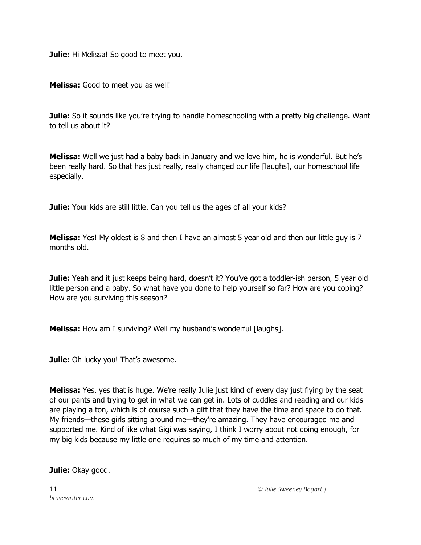**Julie:** Hi Melissa! So good to meet you.

**Melissa:** Good to meet you as well!

**Julie:** So it sounds like you're trying to handle homeschooling with a pretty big challenge. Want to tell us about it?

**Melissa:** Well we just had a baby back in January and we love him, he is wonderful. But he's been really hard. So that has just really, really changed our life [laughs], our homeschool life especially.

**Julie:** Your kids are still little. Can you tell us the ages of all your kids?

**Melissa:** Yes! My oldest is 8 and then I have an almost 5 year old and then our little guy is 7 months old.

**Julie:** Yeah and it just keeps being hard, doesn't it? You've got a toddler-ish person, 5 year old little person and a baby. So what have you done to help yourself so far? How are you coping? How are you surviving this season?

**Melissa:** How am I surviving? Well my husband's wonderful [laughs].

**Julie:** Oh lucky you! That's awesome.

**Melissa:** Yes, yes that is huge. We're really Julie just kind of every day just flying by the seat of our pants and trying to get in what we can get in. Lots of cuddles and reading and our kids are playing a ton, which is of course such a gift that they have the time and space to do that. My friends—these girls sitting around me—they're amazing. They have encouraged me and supported me. Kind of like what Gigi was saying, I think I worry about not doing enough, for my big kids because my little one requires so much of my time and attention.

**Julie:** Okay good.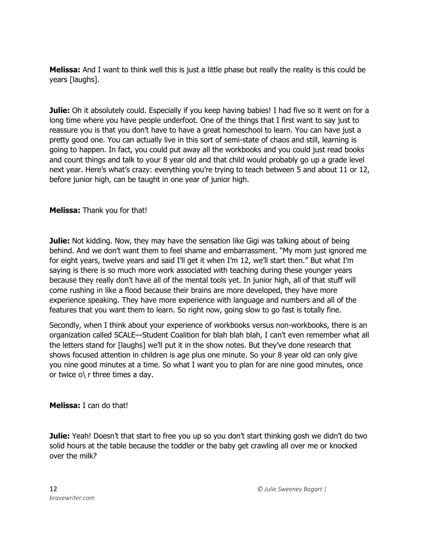**Melissa:** And I want to think well this is just a little phase but really the reality is this could be years [laughs].

**Julie:** Oh it absolutely could. Especially if you keep having babies! I had five so it went on for a long time where you have people underfoot. One of the things that I first want to say just to reassure you is that you don't have to have a great homeschool to learn. You can have just a pretty good one. You can actually live in this sort of semi-state of chaos and still, learning is going to happen. In fact, you could put away all the workbooks and you could just read books and count things and talk to your 8 year old and that child would probably go up a grade level next year. Here's what's crazy: everything you're trying to teach between 5 and about 11 or 12, before junior high, can be taught in one year of junior high.

**Melissa:** Thank you for that!

**Julie:** Not kidding. Now, they may have the sensation like Gigi was talking about of being behind. And we don't want them to feel shame and embarrassment. "My mom just ignored me for eight years, twelve years and said I'll get it when I'm 12, we'll start then." But what I'm saying is there is so much more work associated with teaching during these younger years because they really don't have all of the mental tools yet. In junior high, all of that stuff will come rushing in like a flood because their brains are more developed, they have more experience speaking. They have more experience with language and numbers and all of the features that you want them to learn. So right now, going slow to go fast is totally fine.

Secondly, when I think about your experience of workbooks versus non-workbooks, there is an organization called SCALE—Student Coalition for blah blah blah, I can't even remember what all the letters stand for [laughs] we'll put it in the show notes. But they've done research that shows focused attention in children is age plus one minute. So your 8 year old can only give you nine good minutes at a time. So what I want you to plan for are nine good minutes, once or twice  $o \mid r$  three times a day.

**Melissa:** I can do that!

**Julie:** Yeah! Doesn't that start to free you up so you don't start thinking gosh we didn't do two solid hours at the table because the toddler or the baby get crawling all over me or knocked over the milk?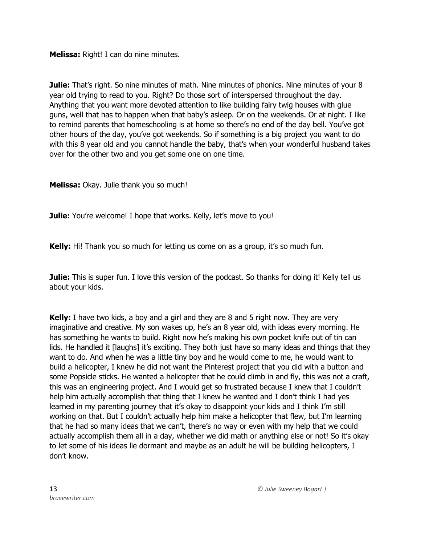**Melissa:** Right! I can do nine minutes.

**Julie:** That's right. So nine minutes of math. Nine minutes of phonics. Nine minutes of your 8 year old trying to read to you. Right? Do those sort of interspersed throughout the day. Anything that you want more devoted attention to like building fairy twig houses with glue guns, well that has to happen when that baby's asleep. Or on the weekends. Or at night. I like to remind parents that homeschooling is at home so there's no end of the day bell. You've got other hours of the day, you've got weekends. So if something is a big project you want to do with this 8 year old and you cannot handle the baby, that's when your wonderful husband takes over for the other two and you get some one on one time.

**Melissa:** Okay. Julie thank you so much!

**Julie:** You're welcome! I hope that works. Kelly, let's move to you!

**Kelly:** Hi! Thank you so much for letting us come on as a group, it's so much fun.

**Julie:** This is super fun. I love this version of the podcast. So thanks for doing it! Kelly tell us about your kids.

**Kelly:** I have two kids, a boy and a girl and they are 8 and 5 right now. They are very imaginative and creative. My son wakes up, he's an 8 year old, with ideas every morning. He has something he wants to build. Right now he's making his own pocket knife out of tin can lids. He handled it [laughs] it's exciting. They both just have so many ideas and things that they want to do. And when he was a little tiny boy and he would come to me, he would want to build a helicopter, I knew he did not want the Pinterest project that you did with a button and some Popsicle sticks. He wanted a helicopter that he could climb in and fly, this was not a craft, this was an engineering project. And I would get so frustrated because I knew that I couldn't help him actually accomplish that thing that I knew he wanted and I don't think I had yes learned in my parenting journey that it's okay to disappoint your kids and I think I'm still working on that. But I couldn't actually help him make a helicopter that flew, but I'm learning that he had so many ideas that we can't, there's no way or even with my help that we could actually accomplish them all in a day, whether we did math or anything else or not! So it's okay to let some of his ideas lie dormant and maybe as an adult he will be building helicopters, I don't know.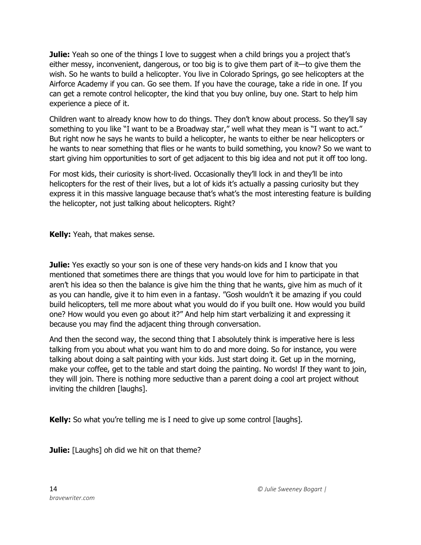**Julie:** Yeah so one of the things I love to suggest when a child brings you a project that's either messy, inconvenient, dangerous, or too big is to give them part of it—to give them the wish. So he wants to build a helicopter. You live in Colorado Springs, go see helicopters at the Airforce Academy if you can. Go see them. If you have the courage, take a ride in one. If you can get a remote control helicopter, the kind that you buy online, buy one. Start to help him experience a piece of it.

Children want to already know how to do things. They don't know about process. So they'll say something to you like "I want to be a Broadway star," well what they mean is "I want to act." But right now he says he wants to build a helicopter, he wants to either be near helicopters or he wants to near something that flies or he wants to build something, you know? So we want to start giving him opportunities to sort of get adjacent to this big idea and not put it off too long.

For most kids, their curiosity is short-lived. Occasionally they'll lock in and they'll be into helicopters for the rest of their lives, but a lot of kids it's actually a passing curiosity but they express it in this massive language because that's what's the most interesting feature is building the helicopter, not just talking about helicopters. Right?

**Kelly:** Yeah, that makes sense.

**Julie:** Yes exactly so your son is one of these very hands-on kids and I know that you mentioned that sometimes there are things that you would love for him to participate in that aren't his idea so then the balance is give him the thing that he wants, give him as much of it as you can handle, give it to him even in a fantasy. "Gosh wouldn't it be amazing if you could build helicopters, tell me more about what you would do if you built one. How would you build one? How would you even go about it?" And help him start verbalizing it and expressing it because you may find the adjacent thing through conversation.

And then the second way, the second thing that I absolutely think is imperative here is less talking from you about what you want him to do and more doing. So for instance, you were talking about doing a salt painting with your kids. Just start doing it. Get up in the morning, make your coffee, get to the table and start doing the painting. No words! If they want to join, they will join. There is nothing more seductive than a parent doing a cool art project without inviting the children [laughs].

**Kelly:** So what you're telling me is I need to give up some control [laughs].

**Julie:** [Laughs] oh did we hit on that theme?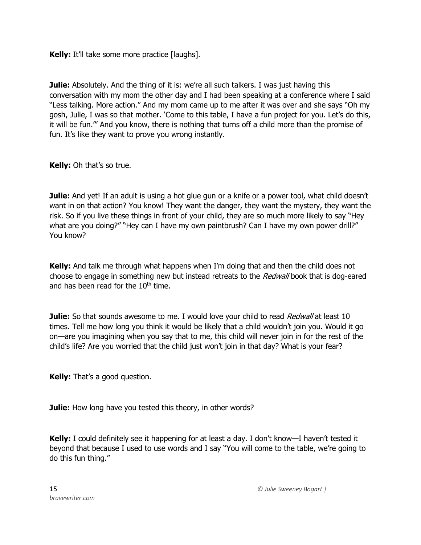**Kelly:** It'll take some more practice [laughs].

**Julie:** Absolutely. And the thing of it is: we're all such talkers. I was just having this conversation with my mom the other day and I had been speaking at a conference where I said "Less talking. More action." And my mom came up to me after it was over and she says "Oh my gosh, Julie, I was so that mother. 'Come to this table, I have a fun project for you. Let's do this, it will be fun.'" And you know, there is nothing that turns off a child more than the promise of fun. It's like they want to prove you wrong instantly.

**Kelly:** Oh that's so true.

**Julie:** And yet! If an adult is using a hot glue gun or a knife or a power tool, what child doesn't want in on that action? You know! They want the danger, they want the mystery, they want the risk. So if you live these things in front of your child, they are so much more likely to say "Hey what are you doing?" "Hey can I have my own paintbrush? Can I have my own power drill?" You know?

**Kelly:** And talk me through what happens when I'm doing that and then the child does not choose to engage in something new but instead retreats to the Redwall book that is dog-eared and has been read for the  $10<sup>th</sup>$  time.

**Julie:** So that sounds awesome to me. I would love your child to read *Redwall* at least 10 times. Tell me how long you think it would be likely that a child wouldn't join you. Would it go on—are you imagining when you say that to me, this child will never join in for the rest of the child's life? Are you worried that the child just won't join in that day? What is your fear?

**Kelly:** That's a good question.

**Julie:** How long have you tested this theory, in other words?

**Kelly:** I could definitely see it happening for at least a day. I don't know—I haven't tested it beyond that because I used to use words and I say "You will come to the table, we're going to do this fun thing."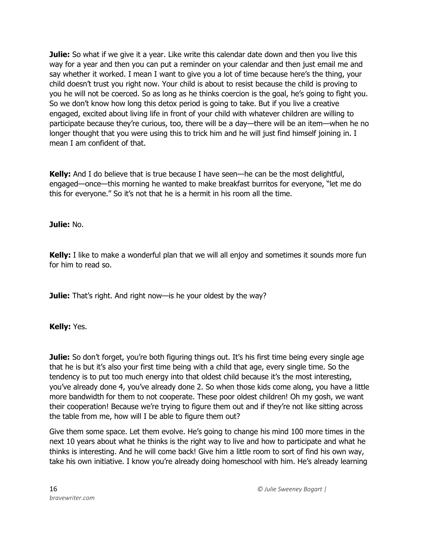**Julie:** So what if we give it a year. Like write this calendar date down and then you live this way for a year and then you can put a reminder on your calendar and then just email me and say whether it worked. I mean I want to give you a lot of time because here's the thing, your child doesn't trust you right now. Your child is about to resist because the child is proving to you he will not be coerced. So as long as he thinks coercion is the goal, he's going to fight you. So we don't know how long this detox period is going to take. But if you live a creative engaged, excited about living life in front of your child with whatever children are willing to participate because they're curious, too, there will be a day—there will be an item—when he no longer thought that you were using this to trick him and he will just find himself joining in. I mean I am confident of that.

**Kelly:** And I do believe that is true because I have seen—he can be the most delightful, engaged—once—this morning he wanted to make breakfast burritos for everyone, "let me do this for everyone." So it's not that he is a hermit in his room all the time.

**Julie:** No.

**Kelly:** I like to make a wonderful plan that we will all enjoy and sometimes it sounds more fun for him to read so.

**Julie:** That's right. And right now—is he your oldest by the way?

**Kelly:** Yes.

**Julie:** So don't forget, you're both figuring things out. It's his first time being every single age that he is but it's also your first time being with a child that age, every single time. So the tendency is to put too much energy into that oldest child because it's the most interesting, you've already done 4, you've already done 2. So when those kids come along, you have a little more bandwidth for them to not cooperate. These poor oldest children! Oh my gosh, we want their cooperation! Because we're trying to figure them out and if they're not like sitting across the table from me, how will I be able to figure them out?

Give them some space. Let them evolve. He's going to change his mind 100 more times in the next 10 years about what he thinks is the right way to live and how to participate and what he thinks is interesting. And he will come back! Give him a little room to sort of find his own way, take his own initiative. I know you're already doing homeschool with him. He's already learning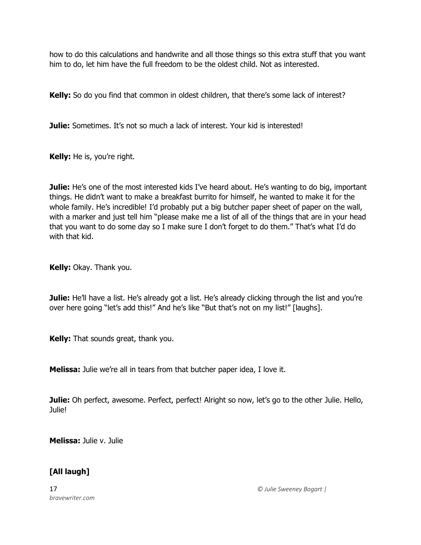how to do this calculations and handwrite and all those things so this extra stuff that you want him to do, let him have the full freedom to be the oldest child. Not as interested.

**Kelly:** So do you find that common in oldest children, that there's some lack of interest?

**Julie:** Sometimes. It's not so much a lack of interest. Your kid is interested!

**Kelly:** He is, you're right.

**Julie:** He's one of the most interested kids I've heard about. He's wanting to do big, important things. He didn't want to make a breakfast burrito for himself, he wanted to make it for the whole family. He's incredible! I'd probably put a big butcher paper sheet of paper on the wall, with a marker and just tell him "please make me a list of all of the things that are in your head that you want to do some day so I make sure I don't forget to do them." That's what I'd do with that kid.

**Kelly:** Okay. Thank you.

**Julie:** He'll have a list. He's already got a list. He's already clicking through the list and you're over here going "let's add this!" And he's like "But that's not on my list!" [laughs].

**Kelly:** That sounds great, thank you.

**Melissa:** Julie we're all in tears from that butcher paper idea, I love it.

**Julie:** Oh perfect, awesome. Perfect, perfect! Alright so now, let's go to the other Julie. Hello, Julie!

**Melissa:** Julie v. Julie

## **[All laugh]**

*bravewriter.com*

17 *© Julie Sweeney Bogart |*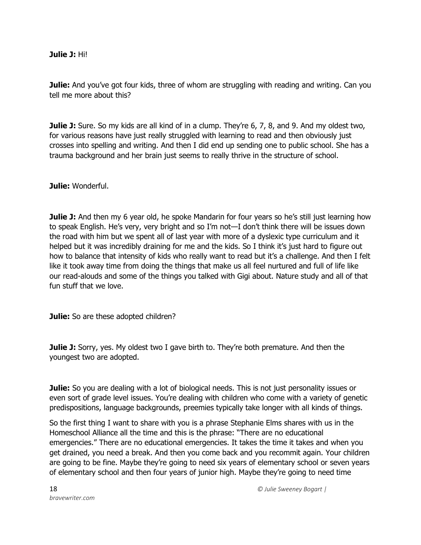#### **Julie J:** Hi!

**Julie:** And you've got four kids, three of whom are struggling with reading and writing. Can you tell me more about this?

**Julie J:** Sure. So my kids are all kind of in a clump. They're 6, 7, 8, and 9. And my oldest two, for various reasons have just really struggled with learning to read and then obviously just crosses into spelling and writing. And then I did end up sending one to public school. She has a trauma background and her brain just seems to really thrive in the structure of school.

**Julie:** Wonderful.

**Julie J:** And then my 6 year old, he spoke Mandarin for four years so he's still just learning how to speak English. He's very, very bright and so I'm not—I don't think there will be issues down the road with him but we spent all of last year with more of a dyslexic type curriculum and it helped but it was incredibly draining for me and the kids. So I think it's just hard to figure out how to balance that intensity of kids who really want to read but it's a challenge. And then I felt like it took away time from doing the things that make us all feel nurtured and full of life like our read-alouds and some of the things you talked with Gigi about. Nature study and all of that fun stuff that we love.

**Julie:** So are these adopted children?

**Julie J:** Sorry, yes. My oldest two I gave birth to. They're both premature. And then the youngest two are adopted.

**Julie:** So you are dealing with a lot of biological needs. This is not just personality issues or even sort of grade level issues. You're dealing with children who come with a variety of genetic predispositions, language backgrounds, preemies typically take longer with all kinds of things.

So the first thing I want to share with you is a phrase Stephanie Elms shares with us in the Homeschool Alliance all the time and this is the phrase: "There are no educational emergencies." There are no educational emergencies. It takes the time it takes and when you get drained, you need a break. And then you come back and you recommit again. Your children are going to be fine. Maybe they're going to need six years of elementary school or seven years of elementary school and then four years of junior high. Maybe they're going to need time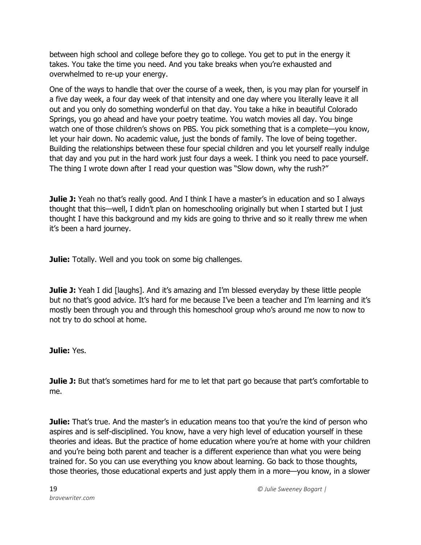between high school and college before they go to college. You get to put in the energy it takes. You take the time you need. And you take breaks when you're exhausted and overwhelmed to re-up your energy.

One of the ways to handle that over the course of a week, then, is you may plan for yourself in a five day week, a four day week of that intensity and one day where you literally leave it all out and you only do something wonderful on that day. You take a hike in beautiful Colorado Springs, you go ahead and have your poetry teatime. You watch movies all day. You binge watch one of those children's shows on PBS. You pick something that is a complete—you know, let your hair down. No academic value, just the bonds of family. The love of being together. Building the relationships between these four special children and you let yourself really indulge that day and you put in the hard work just four days a week. I think you need to pace yourself. The thing I wrote down after I read your question was "Slow down, why the rush?"

**Julie J:** Yeah no that's really good. And I think I have a master's in education and so I always thought that this—well, I didn't plan on homeschooling originally but when I started but I just thought I have this background and my kids are going to thrive and so it really threw me when it's been a hard journey.

**Julie:** Totally. Well and you took on some big challenges.

**Julie J:** Yeah I did [laughs]. And it's amazing and I'm blessed everyday by these little people but no that's good advice. It's hard for me because I've been a teacher and I'm learning and it's mostly been through you and through this homeschool group who's around me now to now to not try to do school at home.

## **Julie:** Yes.

**Julie J:** But that's sometimes hard for me to let that part go because that part's comfortable to me.

**Julie:** That's true. And the master's in education means too that you're the kind of person who aspires and is self-disciplined. You know, have a very high level of education yourself in these theories and ideas. But the practice of home education where you're at home with your children and you're being both parent and teacher is a different experience than what you were being trained for. So you can use everything you know about learning. Go back to those thoughts, those theories, those educational experts and just apply them in a more—you know, in a slower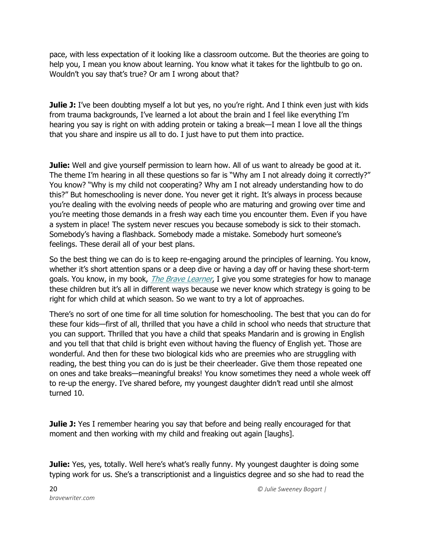pace, with less expectation of it looking like a classroom outcome. But the theories are going to help you, I mean you know about learning. You know what it takes for the lightbulb to go on. Wouldn't you say that's true? Or am I wrong about that?

**Julie J:** I've been doubting myself a lot but yes, no you're right. And I think even just with kids from trauma backgrounds, I've learned a lot about the brain and I feel like everything I'm hearing you say is right on with adding protein or taking a break—I mean I love all the things that you share and inspire us all to do. I just have to put them into practice.

**Julie:** Well and give yourself permission to learn how. All of us want to already be good at it. The theme I'm hearing in all these questions so far is "Why am I not already doing it correctly?" You know? "Why is my child not cooperating? Why am I not already understanding how to do this?" But homeschooling is never done. You never get it right. It's always in process because you're dealing with the evolving needs of people who are maturing and growing over time and you're meeting those demands in a fresh way each time you encounter them. Even if you have a system in place! The system never rescues you because somebody is sick to their stomach. Somebody's having a flashback. Somebody made a mistake. Somebody hurt someone's feelings. These derail all of your best plans.

So the best thing we can do is to keep re-engaging around the principles of learning. You know, whether it's short attention spans or a deep dive or having a day off or having these short-term goals. You know, in my book, *[The Brave Learner](https://thebravelearner.com/)*, I give you some strategies for how to manage these children but it's all in different ways because we never know which strategy is going to be right for which child at which season. So we want to try a lot of approaches.

There's no sort of one time for all time solution for homeschooling. The best that you can do for these four kids—first of all, thrilled that you have a child in school who needs that structure that you can support. Thrilled that you have a child that speaks Mandarin and is growing in English and you tell that that child is bright even without having the fluency of English yet. Those are wonderful. And then for these two biological kids who are preemies who are struggling with reading, the best thing you can do is just be their cheerleader. Give them those repeated one on ones and take breaks—meaningful breaks! You know sometimes they need a whole week off to re-up the energy. I've shared before, my youngest daughter didn't read until she almost turned 10.

**Julie J:** Yes I remember hearing you say that before and being really encouraged for that moment and then working with my child and freaking out again [laughs].

Julie: Yes, yes, totally. Well here's what's really funny. My youngest daughter is doing some typing work for us. She's a transcriptionist and a linguistics degree and so she had to read the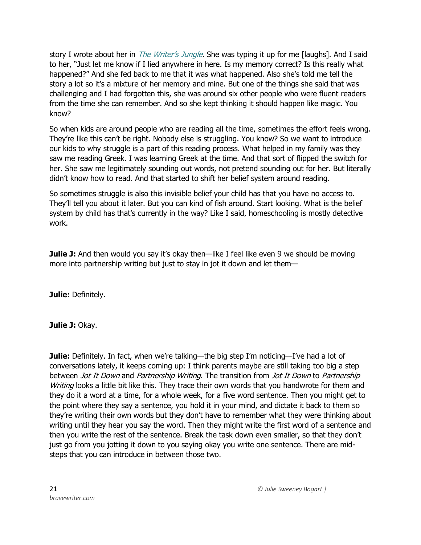story I wrote about her in *[The Writer's Jungle](https://store.bravewriter.com/collections/original-thought/products/the-writers-jungle)*. She was typing it up for me [laughs]. And I said to her, "Just let me know if I lied anywhere in here. Is my memory correct? Is this really what happened?" And she fed back to me that it was what happened. Also she's told me tell the story a lot so it's a mixture of her memory and mine. But one of the things she said that was challenging and I had forgotten this, she was around six other people who were fluent readers from the time she can remember. And so she kept thinking it should happen like magic. You know?

So when kids are around people who are reading all the time, sometimes the effort feels wrong. They're like this can't be right. Nobody else is struggling. You know? So we want to introduce our kids to why struggle is a part of this reading process. What helped in my family was they saw me reading Greek. I was learning Greek at the time. And that sort of flipped the switch for her. She saw me legitimately sounding out words, not pretend sounding out for her. But literally didn't know how to read. And that started to shift her belief system around reading.

So sometimes struggle is also this invisible belief your child has that you have no access to. They'll tell you about it later. But you can kind of fish around. Start looking. What is the belief system by child has that's currently in the way? Like I said, homeschooling is mostly detective work.

**Julie J:** And then would you say it's okay then—like I feel like even 9 we should be moving more into partnership writing but just to stay in jot it down and let them—

**Julie:** Definitely.

**Julie J:** Okay.

**Julie:** Definitely. In fact, when we're talking—the big step I'm noticing—I've had a lot of conversations lately, it keeps coming up: I think parents maybe are still taking too big a step between *Jot It Down* and *Partnership Writing*. The transition from *Jot It Down* to Partnership Writing looks a little bit like this. They trace their own words that you handwrote for them and they do it a word at a time, for a whole week, for a five word sentence. Then you might get to the point where they say a sentence, you hold it in your mind, and dictate it back to them so they're writing their own words but they don't have to remember what they were thinking about writing until they hear you say the word. Then they might write the first word of a sentence and then you write the rest of the sentence. Break the task down even smaller, so that they don't just go from you jotting it down to you saying okay you write one sentence. There are midsteps that you can introduce in between those two.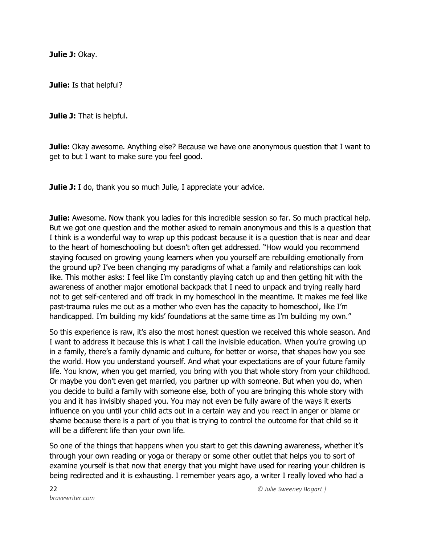**Julie J:** Okay.

**Julie:** Is that helpful?

**Julie J:** That is helpful.

**Julie:** Okay awesome. Anything else? Because we have one anonymous question that I want to get to but I want to make sure you feel good.

**Julie J:** I do, thank you so much Julie, I appreciate your advice.

**Julie:** Awesome. Now thank you ladies for this incredible session so far. So much practical help. But we got one question and the mother asked to remain anonymous and this is a question that I think is a wonderful way to wrap up this podcast because it is a question that is near and dear to the heart of homeschooling but doesn't often get addressed. "How would you recommend staying focused on growing young learners when you yourself are rebuilding emotionally from the ground up? I've been changing my paradigms of what a family and relationships can look like. This mother asks: I feel like I'm constantly playing catch up and then getting hit with the awareness of another major emotional backpack that I need to unpack and trying really hard not to get self-centered and off track in my homeschool in the meantime. It makes me feel like past-trauma rules me out as a mother who even has the capacity to homeschool, like I'm handicapped. I'm building my kids' foundations at the same time as I'm building my own."

So this experience is raw, it's also the most honest question we received this whole season. And I want to address it because this is what I call the invisible education. When you're growing up in a family, there's a family dynamic and culture, for better or worse, that shapes how you see the world. How you understand yourself. And what your expectations are of your future family life. You know, when you get married, you bring with you that whole story from your childhood. Or maybe you don't even get married, you partner up with someone. But when you do, when you decide to build a family with someone else, both of you are bringing this whole story with you and it has invisibly shaped you. You may not even be fully aware of the ways it exerts influence on you until your child acts out in a certain way and you react in anger or blame or shame because there is a part of you that is trying to control the outcome for that child so it will be a different life than your own life.

So one of the things that happens when you start to get this dawning awareness, whether it's through your own reading or yoga or therapy or some other outlet that helps you to sort of examine yourself is that now that energy that you might have used for rearing your children is being redirected and it is exhausting. I remember years ago, a writer I really loved who had a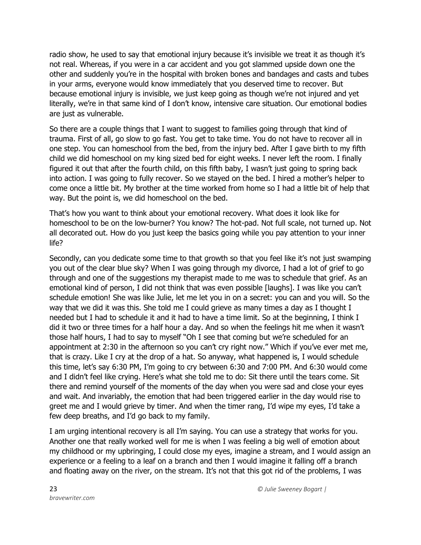radio show, he used to say that emotional injury because it's invisible we treat it as though it's not real. Whereas, if you were in a car accident and you got slammed upside down one the other and suddenly you're in the hospital with broken bones and bandages and casts and tubes in your arms, everyone would know immediately that you deserved time to recover. But because emotional injury is invisible, we just keep going as though we're not injured and yet literally, we're in that same kind of I don't know, intensive care situation. Our emotional bodies are just as vulnerable.

So there are a couple things that I want to suggest to families going through that kind of trauma. First of all, go slow to go fast. You get to take time. You do not have to recover all in one step. You can homeschool from the bed, from the injury bed. After I gave birth to my fifth child we did homeschool on my king sized bed for eight weeks. I never left the room. I finally figured it out that after the fourth child, on this fifth baby, I wasn't just going to spring back into action. I was going to fully recover. So we stayed on the bed. I hired a mother's helper to come once a little bit. My brother at the time worked from home so I had a little bit of help that way. But the point is, we did homeschool on the bed.

That's how you want to think about your emotional recovery. What does it look like for homeschool to be on the low-burner? You know? The hot-pad. Not full scale, not turned up. Not all decorated out. How do you just keep the basics going while you pay attention to your inner life?

Secondly, can you dedicate some time to that growth so that you feel like it's not just swamping you out of the clear blue sky? When I was going through my divorce, I had a lot of grief to go through and one of the suggestions my therapist made to me was to schedule that grief. As an emotional kind of person, I did not think that was even possible [laughs]. I was like you can't schedule emotion! She was like Julie, let me let you in on a secret: you can and you will. So the way that we did it was this. She told me I could grieve as many times a day as I thought I needed but I had to schedule it and it had to have a time limit. So at the beginning, I think I did it two or three times for a half hour a day. And so when the feelings hit me when it wasn't those half hours, I had to say to myself "Oh I see that coming but we're scheduled for an appointment at 2:30 in the afternoon so you can't cry right now." Which if you've ever met me, that is crazy. Like I cry at the drop of a hat. So anyway, what happened is, I would schedule this time, let's say 6:30 PM, I'm going to cry between 6:30 and 7:00 PM. And 6:30 would come and I didn't feel like crying. Here's what she told me to do: Sit there until the tears come. Sit there and remind yourself of the moments of the day when you were sad and close your eyes and wait. And invariably, the emotion that had been triggered earlier in the day would rise to greet me and I would grieve by timer. And when the timer rang, I'd wipe my eyes, I'd take a few deep breaths, and I'd go back to my family.

I am urging intentional recovery is all I'm saying. You can use a strategy that works for you. Another one that really worked well for me is when I was feeling a big well of emotion about my childhood or my upbringing, I could close my eyes, imagine a stream, and I would assign an experience or a feeling to a leaf on a branch and then I would imagine it falling off a branch and floating away on the river, on the stream. It's not that this got rid of the problems, I was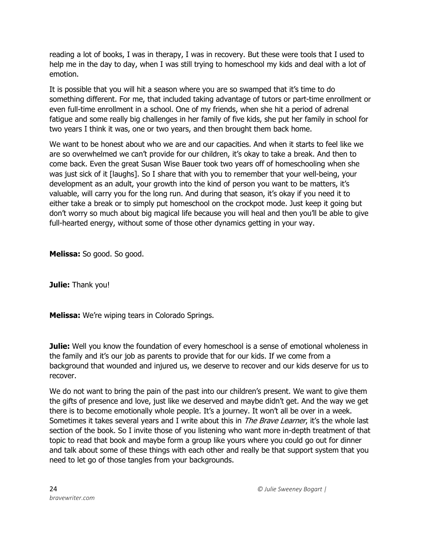reading a lot of books, I was in therapy, I was in recovery. But these were tools that I used to help me in the day to day, when I was still trying to homeschool my kids and deal with a lot of emotion.

It is possible that you will hit a season where you are so swamped that it's time to do something different. For me, that included taking advantage of tutors or part-time enrollment or even full-time enrollment in a school. One of my friends, when she hit a period of adrenal fatigue and some really big challenges in her family of five kids, she put her family in school for two years I think it was, one or two years, and then brought them back home.

We want to be honest about who we are and our capacities. And when it starts to feel like we are so overwhelmed we can't provide for our children, it's okay to take a break. And then to come back. Even the great Susan Wise Bauer took two years off of homeschooling when she was just sick of it [laughs]. So I share that with you to remember that your well-being, your development as an adult, your growth into the kind of person you want to be matters, it's valuable, will carry you for the long run. And during that season, it's okay if you need it to either take a break or to simply put homeschool on the crockpot mode. Just keep it going but don't worry so much about big magical life because you will heal and then you'll be able to give full-hearted energy, without some of those other dynamics getting in your way.

**Melissa:** So good. So good.

**Julie:** Thank you!

**Melissa:** We're wiping tears in Colorado Springs.

**Julie:** Well you know the foundation of every homeschool is a sense of emotional wholeness in the family and it's our job as parents to provide that for our kids. If we come from a background that wounded and injured us, we deserve to recover and our kids deserve for us to recover.

We do not want to bring the pain of the past into our children's present. We want to give them the gifts of presence and love, just like we deserved and maybe didn't get. And the way we get there is to become emotionally whole people. It's a journey. It won't all be over in a week. Sometimes it takes several years and I write about this in *The Brave Learner*, it's the whole last section of the book. So I invite those of you listening who want more in-depth treatment of that topic to read that book and maybe form a group like yours where you could go out for dinner and talk about some of these things with each other and really be that support system that you need to let go of those tangles from your backgrounds.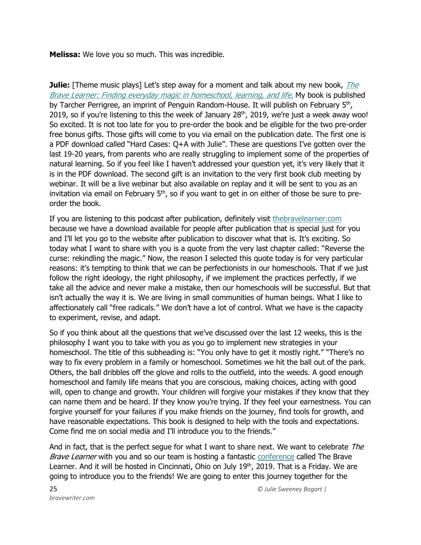**Melissa:** We love you so much. This was incredible.

**Julie:** [Theme music plays] Let's step away for a moment and talk about my new book, *The* [Brave Learner: Finding everyday magic in homeschool, learning, and life.](https://thebravelearner.com/) My book is published by Tarcher Perrigree, an imprint of Penguin Random-House. It will publish on February 5<sup>th</sup>, 2019, so if you're listening to this the week of January 28<sup>th</sup>, 2019, we're just a week away woo! So excited. It is not too late for you to pre-order the book and be eligible for the two pre-order free bonus gifts. Those gifts will come to you via email on the publication date. The first one is a PDF download called "Hard Cases: Q+A with Julie". These are questions I've gotten over the last 19-20 years, from parents who are really struggling to implement some of the properties of natural learning. So if you feel like I haven't addressed your question yet, it's very likely that it is in the PDF download. The second gift is an invitation to the very first book club meeting by webinar. It will be a live webinar but also available on replay and it will be sent to you as an invitation via email on February  $5<sup>th</sup>$ , so if you want to get in on either of those be sure to preorder the book.

If you are listening to this podcast after publication, definitely visit [thebravelearner.com](https://thebravelearner.com/) because we have a download available for people after publication that is special just for you and I'll let you go to the website after publication to discover what that is. It's exciting. So today what I want to share with you is a quote from the very last chapter called: "Reverse the curse: rekindling the magic." Now, the reason I selected this quote today is for very particular reasons: it's tempting to think that we can be perfectionists in our homeschools. That if we just follow the right ideology, the right philosophy, if we implement the practices perfectly, if we take all the advice and never make a mistake, then our homeschools will be successful. But that isn't actually the way it is. We are living in small communities of human beings. What I like to affectionately call "free radicals." We don't have a lot of control. What we have is the capacity to experiment, revise, and adapt.

So if you think about all the questions that we've discussed over the last 12 weeks, this is the philosophy I want you to take with you as you go to implement new strategies in your homeschool. The title of this subheading is: "You only have to get it mostly right." "There's no way to fix every problem in a family or homeschool. Sometimes we hit the ball out of the park. Others, the ball dribbles off the glove and rolls to the outfield, into the weeds. A good enough homeschool and family life means that you are conscious, making choices, acting with good will, open to change and growth. Your children will forgive your mistakes if they know that they can name them and be heard. If they know you're trying. If they feel your earnestness. You can forgive yourself for your failures if you make friends on the journey, find tools for growth, and have reasonable expectations. This book is designed to help with the tools and expectations. Come find me on social media and I'll introduce you to the friends."

And in fact, that is the perfect seque for what I want to share next. We want to celebrate The Brave Learner with you and so our team is hosting a fantastic [conference](https://thebravelearner.com/conference) called The Brave Learner. And it will be hosted in Cincinnati, Ohio on July 19<sup>th</sup>, 2019. That is a Friday. We are going to introduce you to the friends! We are going to enter this journey together for the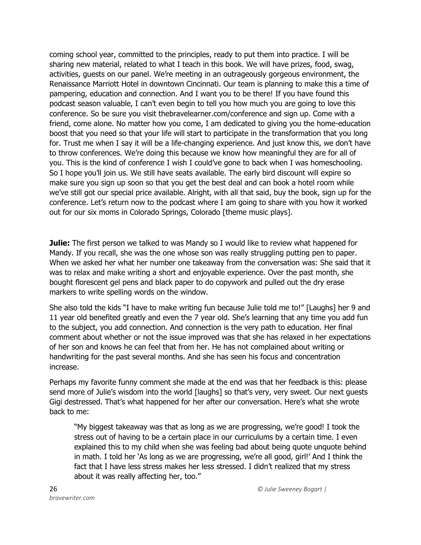coming school year, committed to the principles, ready to put them into practice. I will be sharing new material, related to what I teach in this book. We will have prizes, food, swag, activities, guests on our panel. We're meeting in an outrageously gorgeous environment, the Renaissance Marriott Hotel in downtown Cincinnati. Our team is planning to make this a time of pampering, education and connection. And I want you to be there! If you have found this podcast season valuable, I can't even begin to tell you how much you are going to love this conference. So be sure you visit thebravelearner.com/conference and sign up. Come with a friend, come alone. No matter how you come, I am dedicated to giving you the home-education boost that you need so that your life will start to participate in the transformation that you long for. Trust me when I say it will be a life-changing experience. And just know this, we don't have to throw conferences. We're doing this because we know how meaningful they are for all of you. This is the kind of conference I wish I could've gone to back when I was homeschooling. So I hope you'll join us. We still have seats available. The early bird discount will expire so make sure you sign up soon so that you get the best deal and can book a hotel room while we've still got our special price available. Alright, with all that said, buy the book, sign up for the conference. Let's return now to the podcast where I am going to share with you how it worked out for our six moms in Colorado Springs, Colorado [theme music plays].

**Julie:** The first person we talked to was Mandy so I would like to review what happened for Mandy. If you recall, she was the one whose son was really struggling putting pen to paper. When we asked her what her number one takeaway from the conversation was: She said that it was to relax and make writing a short and enjoyable experience. Over the past month, she bought florescent gel pens and black paper to do copywork and pulled out the dry erase markers to write spelling words on the window.

She also told the kids "I have to make writing fun because Julie told me to!" [Laughs] her 9 and 11 year old benefited greatly and even the 7 year old. She's learning that any time you add fun to the subject, you add connection. And connection is the very path to education. Her final comment about whether or not the issue improved was that she has relaxed in her expectations of her son and knows he can feel that from her. He has not complained about writing or handwriting for the past several months. And she has seen his focus and concentration increase.

Perhaps my favorite funny comment she made at the end was that her feedback is this: please send more of Julie's wisdom into the world [laughs] so that's very, very sweet. Our next guests Gigi destressed. That's what happened for her after our conversation. Here's what she wrote back to me:

"My biggest takeaway was that as long as we are progressing, we're good! I took the stress out of having to be a certain place in our curriculums by a certain time. I even explained this to my child when she was feeling bad about being quote unquote behind in math. I told her 'As long as we are progressing, we're all good, girl!' And I think the fact that I have less stress makes her less stressed. I didn't realized that my stress about it was really affecting her, too."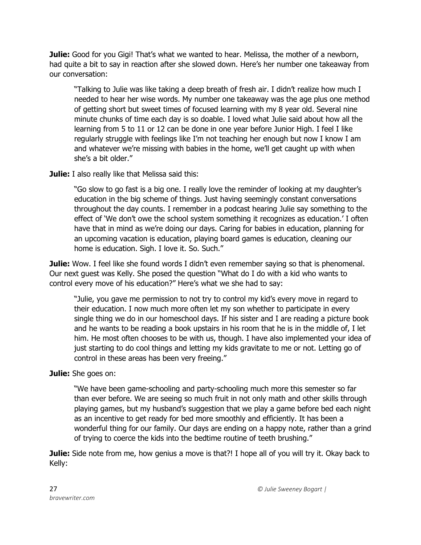**Julie:** Good for you Gigi! That's what we wanted to hear. Melissa, the mother of a newborn, had quite a bit to say in reaction after she slowed down. Here's her number one takeaway from our conversation:

"Talking to Julie was like taking a deep breath of fresh air. I didn't realize how much I needed to hear her wise words. My number one takeaway was the age plus one method of getting short but sweet times of focused learning with my 8 year old. Several nine minute chunks of time each day is so doable. I loved what Julie said about how all the learning from 5 to 11 or 12 can be done in one year before Junior High. I feel I like regularly struggle with feelings like I'm not teaching her enough but now I know I am and whatever we're missing with babies in the home, we'll get caught up with when she's a bit older."

**Julie:** I also really like that Melissa said this:

"Go slow to go fast is a big one. I really love the reminder of looking at my daughter's education in the big scheme of things. Just having seemingly constant conversations throughout the day counts. I remember in a podcast hearing Julie say something to the effect of 'We don't owe the school system something it recognizes as education.' I often have that in mind as we're doing our days. Caring for babies in education, planning for an upcoming vacation is education, playing board games is education, cleaning our home is education. Sigh. I love it. So. Such."

**Julie:** Wow. I feel like she found words I didn't even remember saying so that is phenomenal. Our next guest was Kelly. She posed the question "What do I do with a kid who wants to control every move of his education?" Here's what we she had to say:

"Julie, you gave me permission to not try to control my kid's every move in regard to their education. I now much more often let my son whether to participate in every single thing we do in our homeschool days. If his sister and I are reading a picture book and he wants to be reading a book upstairs in his room that he is in the middle of, I let him. He most often chooses to be with us, though. I have also implemented your idea of just starting to do cool things and letting my kids gravitate to me or not. Letting go of control in these areas has been very freeing."

## **Julie:** She goes on:

"We have been game-schooling and party-schooling much more this semester so far than ever before. We are seeing so much fruit in not only math and other skills through playing games, but my husband's suggestion that we play a game before bed each night as an incentive to get ready for bed more smoothly and efficiently. It has been a wonderful thing for our family. Our days are ending on a happy note, rather than a grind of trying to coerce the kids into the bedtime routine of teeth brushing."

**Julie:** Side note from me, how genius a move is that?! I hope all of you will try it. Okay back to Kelly: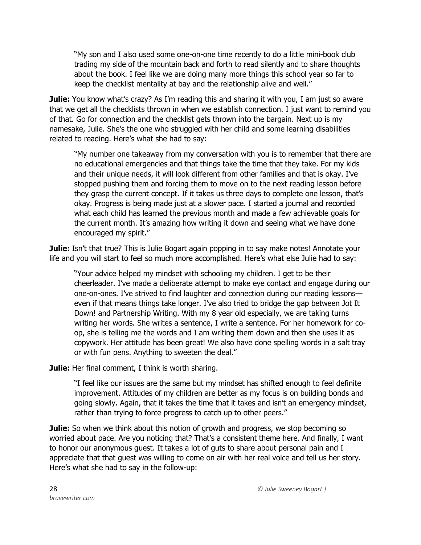"My son and I also used some one-on-one time recently to do a little mini-book club trading my side of the mountain back and forth to read silently and to share thoughts about the book. I feel like we are doing many more things this school year so far to keep the checklist mentality at bay and the relationship alive and well."

**Julie:** You know what's crazy? As I'm reading this and sharing it with you, I am just so aware that we get all the checklists thrown in when we establish connection. I just want to remind you of that. Go for connection and the checklist gets thrown into the bargain. Next up is my namesake, Julie. She's the one who struggled with her child and some learning disabilities related to reading. Here's what she had to say:

"My number one takeaway from my conversation with you is to remember that there are no educational emergencies and that things take the time that they take. For my kids and their unique needs, it will look different from other families and that is okay. I've stopped pushing them and forcing them to move on to the next reading lesson before they grasp the current concept. If it takes us three days to complete one lesson, that's okay. Progress is being made just at a slower pace. I started a journal and recorded what each child has learned the previous month and made a few achievable goals for the current month. It's amazing how writing it down and seeing what we have done encouraged my spirit."

**Julie:** Isn't that true? This is Julie Bogart again popping in to say make notes! Annotate your life and you will start to feel so much more accomplished. Here's what else Julie had to say:

"Your advice helped my mindset with schooling my children. I get to be their cheerleader. I've made a deliberate attempt to make eye contact and engage during our one-on-ones. I've strived to find laughter and connection during our reading lessons even if that means things take longer. I've also tried to bridge the gap between Jot It Down! and Partnership Writing. With my 8 year old especially, we are taking turns writing her words. She writes a sentence, I write a sentence. For her homework for coop, she is telling me the words and I am writing them down and then she uses it as copywork. Her attitude has been great! We also have done spelling words in a salt tray or with fun pens. Anything to sweeten the deal."

**Julie:** Her final comment, I think is worth sharing.

"I feel like our issues are the same but my mindset has shifted enough to feel definite improvement. Attitudes of my children are better as my focus is on building bonds and going slowly. Again, that it takes the time that it takes and isn't an emergency mindset, rather than trying to force progress to catch up to other peers."

**Julie:** So when we think about this notion of growth and progress, we stop becoming so worried about pace. Are you noticing that? That's a consistent theme here. And finally, I want to honor our anonymous guest. It takes a lot of guts to share about personal pain and I appreciate that that guest was willing to come on air with her real voice and tell us her story. Here's what she had to say in the follow-up: